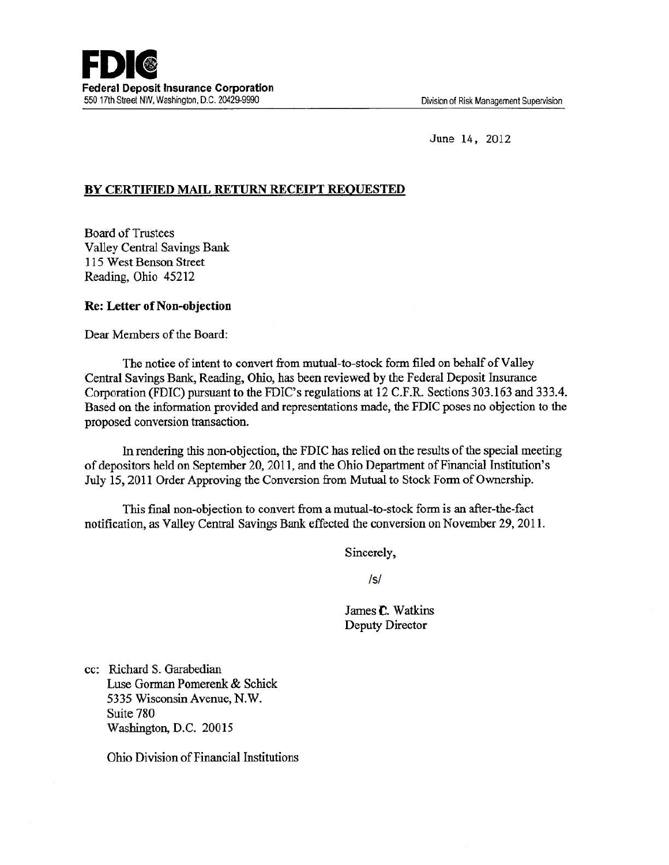June 14, 2012

# BY CERTIFIED MAIL RETURN RECEIPT REQUESTED

**Board of Trustees** Valley Central Savings Bank 115 West Benson Street Reading, Ohio 45212

## Re: Letter of Non-objection

Dear Members of the Board:

The notice of intent to convert from mutual-to-stock fonn filed on behalf of Valley Central Savings Bank, Reading, Ohio, has been reviewed by the Federal Deposit Insurance Corporation (FDIC) pursuant to the FDIC's regulations at 12 C.F.R. Sections 303.163 and 333.4. Based on the information provided and representations made, the FDIC poses no objection to the proposed conversion transaction.

In rendering this non-objection, the FDIC has relied on the results of the special meeting of depositors held on September 20,2011, and the Ohio Department of Financial Institution's July 15, 2011 Order Approving the Conversion from Mutual to Stock Form of Ownership.

This final non-objection to convert from a mutual-to-stock form is an after-the-fact notification, as Valley Central Savings Bank effected the conversion on November 29,2011.

Sincerely,

/s/

James C. Watkins Deputy Director

cc: Richard S. Garabedian Luse Gorman Pomerenk & Schick 5335 Wisconsin Avenue, N.W. Suite 780 Washington, D.C. 20015

Ohio Division of Financial Institutions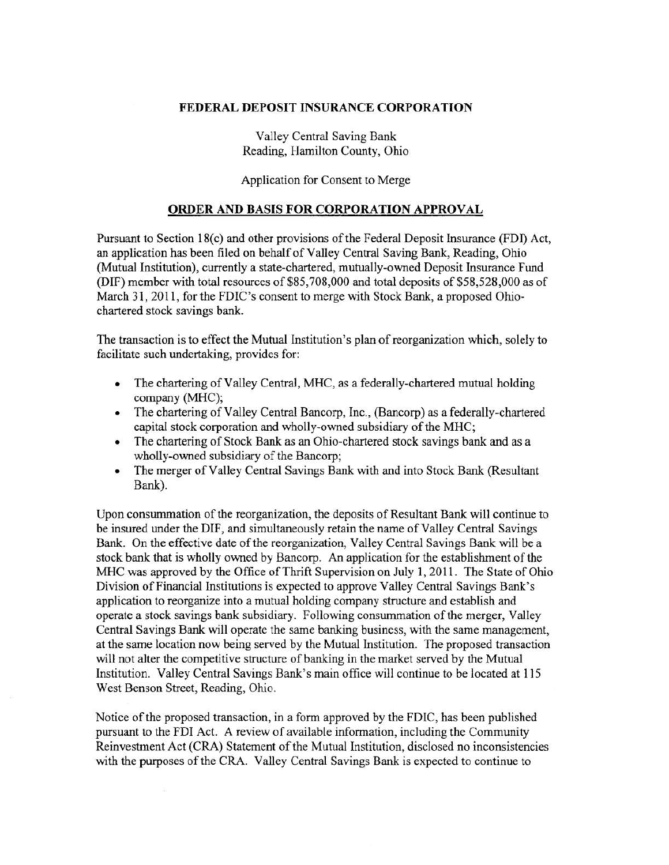#### FEDERAL DEPOSIT INSURANCE CORPORATION

Valley Central Saving Bank Reading, Hamilton County, Ohio

## Application for Consent to Merge

#### ORDER AND BASIS FOR CORPORATION APPROVAL

Pursuant to Section 18(c) and other provisions of the Federal Deposit Insurance (FDI) Act, an application has been filed on behalf of Valley Central Saving Bank, Reading, Ohio (Mutual Institution), currently a state-chartered, mutually-owned Deposit Insurance Fund (DIF) member with total resources of \$85,708,000 and total deposits of \$58,528,000 as of March 31, 2011, for the FDIC's consent to merge with Stock Bank, a proposed Ohiochartered stock savings bank.

The transaction is to effect the Mutual Institution's plan of reorganization which, solely to facilitate such undertaking, provides for:

- The chartering of Valley Central, MHC, as a federally-chartered mutual holding company (MHC);
- The chartering of Valley Central Bancorp, Inc., (Bancorp) as a federally-chartered capital stock corporation and wholly-owned subsidiary of the MHC;
- The chartering of Stock Bank as an Ohio-chartered stock savings bank and as a wholly-owned subsidiary of the Bancorp;
- The merger of Valley Central Savings Bank with and into Stock Bank (Resultant Bank).

Upon consummation of the reorganization, the deposits of Resultant Bank will continue to be insured under the DIF, and simultaneously retain the name of Valley Central Savings Bank. On the effective date of the reorganization, Valley Central Savings Bank will be a stock bank that is wholly owned by Bancorp. An application for the establishment of the MHC was approved by the Office of Thrift Supervision on July 1, 2011. The State of Ohio Division of Financial Institutions is expected to approve VaHey Central Savings Bank's application to reorganize into a mutual holding company structure and establish and operate a stock savings bank subsidiary. Following consummation of the merger, Valley Central Savings Bank will operate the same banking business, with the same management, at the same location now being served by the Mutual Institution. The proposed transaction will not alter the competitive structure of banking in the market served by the Mutual Institution. Valley Central Savings Bank's main office will continue to be located at 115 West Benson Street, Reading, Ohio.

Notice of the proposed transaction, in a form approved by the FDIC, has been published pursuant to the FDI Act. A review of available information, including the Community Reinvestment Act (CRA) Statement of the Mutual Institution, disclosed no inconsistencies with the purposes of the CRA. Valley Central Savings Bank is expected to continue to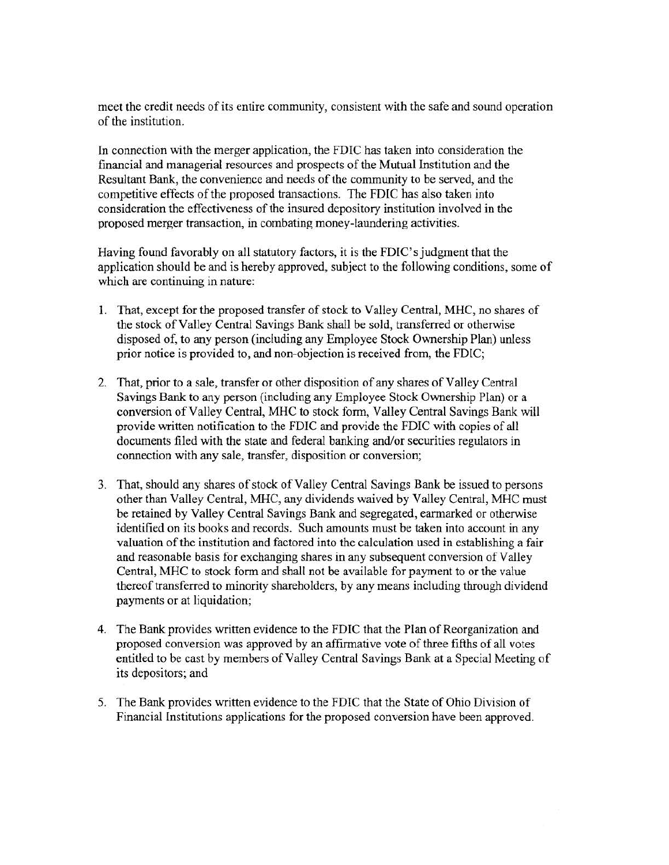meet the credit needs of its entire community, consistent with the safe and sound operation of the institution.

In connection with the merger application, the FDIC has taken into consideration the financial and managerial resources and prospects of the Mutual Institution and the Resultant Bank, the convenience and needs of the community to be served, and the competitive effects of the proposed transactions. The FDIC has also taken into consideration the effectiveness of the insured depository institution involved in the proposed merger transaction, in combating money-laundering activities.

Having found favorably on all statutory factors, it is the FDIC's judgment that the application should be and is hereby approved, subject to the following conditions, some of which are continuing in nature:

- l. That, except for the proposed transfer of stock to Valley Central, MHC, no shares of the stock of Valley Central Savings Bank shall be sold, transferred or otherwise disposed of, to any person (including any Employee Stock Ownership Plan) unless prior notice is provided to, and non-objection is received from, the FDIC;
- 2. That, prior to a sale, transfer or other disposition of any shares of Valley Central Savings Bank to any person (including any Employee Stock Ownership Plan) or a conversion of Valley Central, MHC to stock form, Valley Central Savings Bank will provide written notification to the FDIC and provide the FDIC with copies of all documents filed with the state and federal banking and/or securities regulators in connection with any sale, transfer, disposition or conversion;
- 3. That, should any shares of stock of Valley Central Savings Bank be issued to persons other than Valley Central, MHC, any dividends waived by Valley Central, MHC must be retained by Valley Central Savings Bank and segregated, earmarked or otherwise identified on its books and records. Such amounts must be taken into account in any valuation of the institution and factored into the calculation used in establishing a fair and reasonable basis for exchanging shares in any subsequent conversion of Valley Central, MHC to stock form and shall not be available for payment to or the value thereof transferred to minority shareholders, by any means including through dividend payments or at liquidation;
- 4. The Bank provides written evidence to the FDIC that the Plan of Reorganization and proposed conversion was approved by an affirmative vote of three fifths of all votes entitled to be cast by members of Valley Central Savings Bank at a Special Meeting of its depositors; and
- 5. The Bank provides written evidence to the FDIC that the State of Ohio Division of Financial Institutions applications for the proposed conversion have been approved.